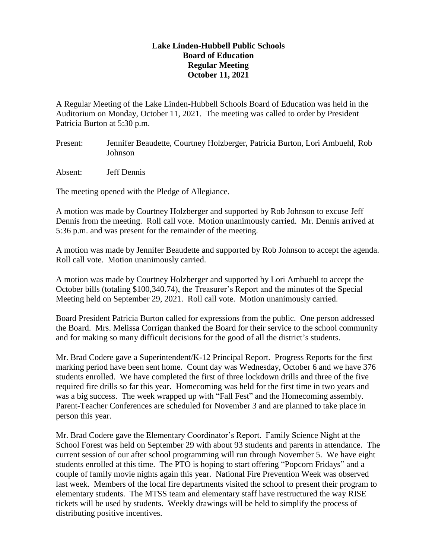## **Lake Linden-Hubbell Public Schools Board of Education Regular Meeting October 11, 2021**

A Regular Meeting of the Lake Linden-Hubbell Schools Board of Education was held in the Auditorium on Monday, October 11, 2021. The meeting was called to order by President Patricia Burton at 5:30 p.m.

- Present: Jennifer Beaudette, Courtney Holzberger, Patricia Burton, Lori Ambuehl, Rob Johnson
- Absent: Jeff Dennis

The meeting opened with the Pledge of Allegiance.

A motion was made by Courtney Holzberger and supported by Rob Johnson to excuse Jeff Dennis from the meeting. Roll call vote. Motion unanimously carried. Mr. Dennis arrived at 5:36 p.m. and was present for the remainder of the meeting.

A motion was made by Jennifer Beaudette and supported by Rob Johnson to accept the agenda. Roll call vote. Motion unanimously carried.

A motion was made by Courtney Holzberger and supported by Lori Ambuehl to accept the October bills (totaling \$100,340.74), the Treasurer's Report and the minutes of the Special Meeting held on September 29, 2021. Roll call vote. Motion unanimously carried.

Board President Patricia Burton called for expressions from the public. One person addressed the Board. Mrs. Melissa Corrigan thanked the Board for their service to the school community and for making so many difficult decisions for the good of all the district's students.

Mr. Brad Codere gave a Superintendent/K-12 Principal Report. Progress Reports for the first marking period have been sent home. Count day was Wednesday, October 6 and we have 376 students enrolled. We have completed the first of three lockdown drills and three of the five required fire drills so far this year. Homecoming was held for the first time in two years and was a big success. The week wrapped up with "Fall Fest" and the Homecoming assembly. Parent-Teacher Conferences are scheduled for November 3 and are planned to take place in person this year.

Mr. Brad Codere gave the Elementary Coordinator's Report. Family Science Night at the School Forest was held on September 29 with about 93 students and parents in attendance. The current session of our after school programming will run through November 5. We have eight students enrolled at this time. The PTO is hoping to start offering "Popcorn Fridays" and a couple of family movie nights again this year. National Fire Prevention Week was observed last week. Members of the local fire departments visited the school to present their program to elementary students. The MTSS team and elementary staff have restructured the way RISE tickets will be used by students. Weekly drawings will be held to simplify the process of distributing positive incentives.